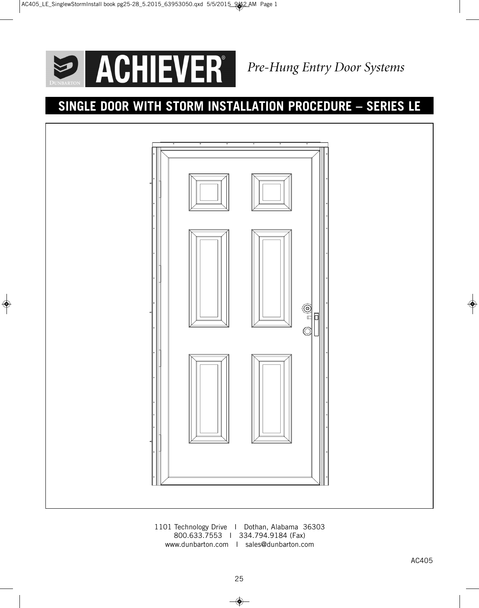ACHIEVER<sup>®</sup>  $\bigcirc$ 

 $\bigoplus$ 

*Pre-Hung Entry Door Systems*

# **SINGLE DOOR WITH STORM INSTALLATION PROCEDURE – SERIES LE**



1101 Technology Drive I Dothan, Alabama 36303 800.633.7553 I 334.794.9184 (Fax) www.dunbarton.com I sales@dunbarton.com

 $\bullet$ 

 $\overline{\bullet}$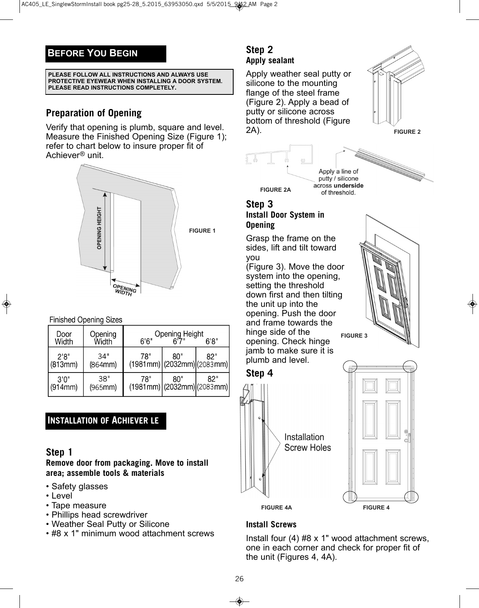## **BEFORE YOU BEGIN**

**PLEASE FOLLOW ALL INSTRUCTIONS AND ALWAYS USE PROTECTIVE EYEWEAR WHEN INSTALLING A DOOR SYSTEM. PLEASE READ INSTRUCTIONS COMPLETELY.**

## **Preparation of Opening**

Verify that opening is plumb, square and level. Measure the Finished Opening Size (Figure 1); refer to chart below to insure proper fit of Achiever® unit.



#### **Finished Opening Sizes**

| Door<br>Width    | Opening<br>Width | 6'6'' | Opening Height<br>6'7"                        | 6'8'' |
|------------------|------------------|-------|-----------------------------------------------|-------|
| 2'8''<br>(813mm) | 34"<br>(864mm)   | 78"   | 80"<br>$(1981mm)$ (2032mm) (2083mm)           | 82"   |
| 3'0''<br>(914mm) | 38"<br>(965mm)   | 78"   | 80"<br>$(1981$ mm $)(2032$ mm $)(2083$ mm $)$ | 82"   |

## **INSTALLATION OF ACHIEVER LE**

## **Step 1**

**Remove door from packaging. Move to install area; assemble tools & materials**

- Safety glasses
- Level
- Tape measure
- Phillips head screwdriver
- Weather Seal Putty or Silicone
- #8 x 1" minimum wood attachment screws

#### **Step 2 Apply sealant**

Apply weather seal putty or silicone to the mounting flange of the steel frame (Figure 2). Apply a bead of putty or silicone across bottom of threshold (Figure 2A).



**FIGURE 2**



# **Step 3**

**Install Door System in Opening**

Grasp the frame on the sides, lift and tilt toward you

(Figure 3). Move the door system into the opening, setting the threshold down first and then tilting the unit up into the opening. Push the door and frame towards the hinge side of the opening. Check hinge jamb to make sure it is plumb and level.









## **Install Screws**

Install four (4) #8 x 1" wood attachment screws, one in each corner and check for proper fit of the unit (Figures 4, 4A).

26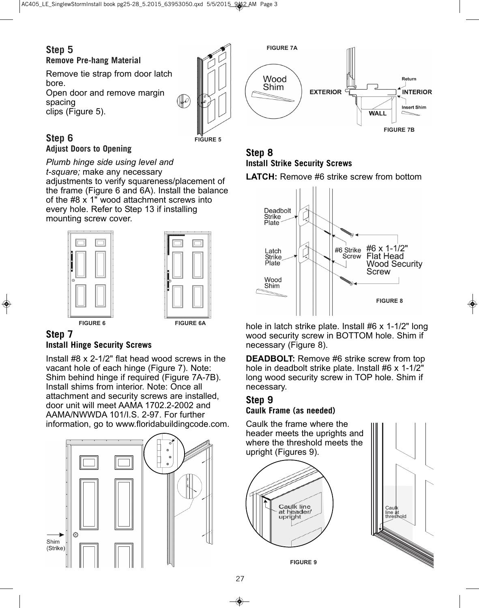## **Step 5**

**Remove Pre-hang Material**

Remove tie strap from door latch bore. Open door and remove margin spacing

clips (Figure 5).



#### **Step 6 Adjust Doors to Opening**

*Plumb hinge side using level and t-square;* make any necessary adjustments to verify squareness/placement of the frame (Figure 6 and 6A). Install the balance of the #8 x 1" wood attachment screws into every hole. Refer to Step 13 if installing mounting screw cover.



### **Step 7 Install Hinge Security Screws**

Install #8 x 2-1/2" flat head wood screws in the vacant hole of each hinge (Figure 7). Note: Shim behind hinge if required (Figure 7A-7B). Install shims from interior. Note: Once all attachment and security screws are installed, door unit will meet AAMA 1702.2-2002 and AAMA/NWWDA 101/I.S. 2-97. For further information, go to www.floridabuildingcode.com.





## **Step 8 Install Strike Security Screws**

**LATCH:** Remove #6 strike screw from bottom



hole in latch strike plate. Install #6 x 1-1/2" long wood security screw in BOTTOM hole. Shim if necessary (Figure 8).

**DEADBOLT:** Remove #6 strike screw from top hole in deadbolt strike plate. Install #6 x 1-1/2" long wood security screw in TOP hole. Shim if necessary.

#### **Step 9 Caulk Frame (as needed)**

Caulk the frame where the header meets the uprights and where the threshold meets the upright (Figures 9).





**FIGURE 9**